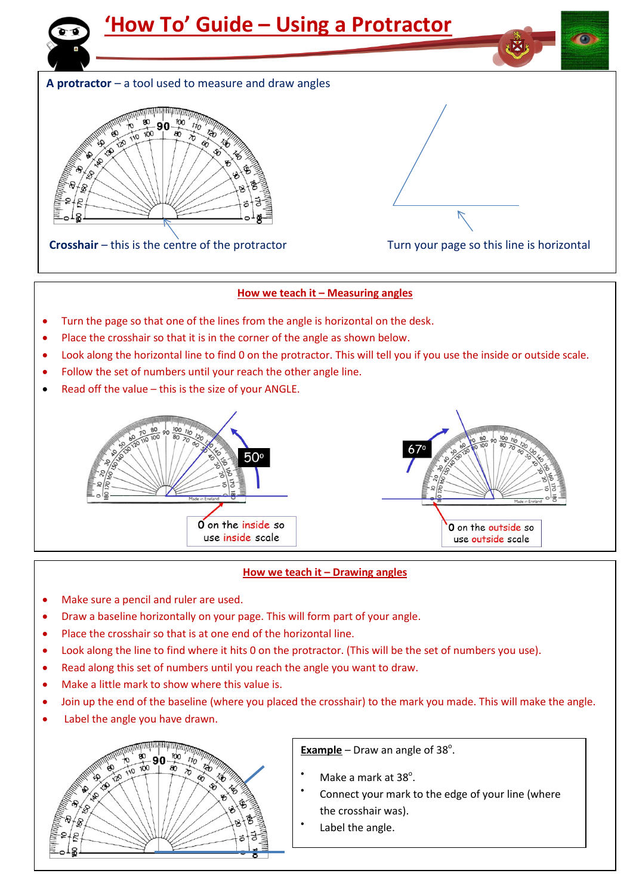

## **How we teach it – Measuring angles**

- Turn the page so that one of the lines from the angle is horizontal on the desk.
- Place the crosshair so that it is in the corner of the angle as shown below.
- Look along the horizontal line to find 0 on the protractor. This will tell you if you use the inside or outside scale.
- Follow the set of numbers until your reach the other angle line.
- Read off the value this is the size of your ANGLE.



## **How we teach it – Drawing angles**

- Make sure a pencil and ruler are used.
- Draw a baseline horizontally on your page. This will form part of your angle.
- Place the crosshair so that is at one end of the horizontal line.
- Look along the line to find where it hits 0 on the protractor. (This will be the set of numbers you use).
- Read along this set of numbers until you reach the angle you want to draw.
- Make a little mark to show where this value is.
- Join up the end of the baseline (where you placed the crosshair) to the mark you made. This will make the angle.
- Label the angle you have drawn.



**Example** - Draw an angle of 38°.

- $\bullet$  Make a mark at 38 $\degree$ .
- $\bullet$ Connect your mark to the edge of your line (where the crosshair was).
- $\bullet$ Label the angle.